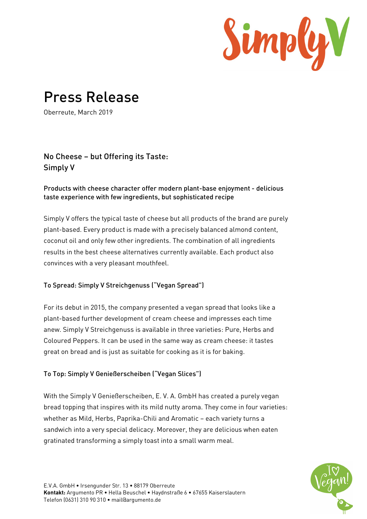

# Press Release

Oberreute, March 2019

## No Cheese – but Offering its Taste: Simply V

#### Products with cheese character offer modern plant-base enjoyment - delicious taste experience with few ingredients, but sophisticated recipe

Simply V offers the typical taste of cheese but all products of the brand are purely plant-based. Every product is made with a precisely balanced almond content, coconut oil and only few other ingredients. The combination of all ingredients results in the best cheese alternatives currently available. Each product also convinces with a very pleasant mouthfeel.

### To Spread: Simply V Streichgenuss ("Vegan Spread")

For its debut in 2015, the company presented a vegan spread that looks like a plant-based further development of cream cheese and impresses each time anew. Simply V Streichgenuss is available in three varieties: Pure, Herbs and Coloured Peppers. It can be used in the same way as cream cheese: it tastes great on bread and is just as suitable for cooking as it is for baking.

### To Top: Simply V Genießerscheiben ("Vegan Slices")

With the Simply V Genießerscheiben, E. V. A. GmbH has created a purely vegan bread topping that inspires with its mild nutty aroma. They come in four varieties: whether as Mild, Herbs, Paprika-Chili and Aromatic – each variety turns a sandwich into a very special delicacy. Moreover, they are delicious when eaten gratinated transforming a simply toast into a small warm meal.